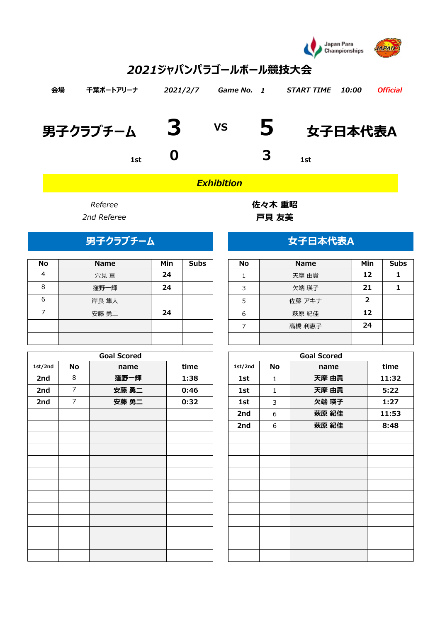

# *2021ジャパンパラゴールボール競技大会*

| 会場 | 千葉ポートアリーナ  | 2021/2/7 | Game No. 1 |                         | <i>START TIME</i>                  | 10:00 | <b>Official</b> |
|----|------------|----------|------------|-------------------------|------------------------------------|-------|-----------------|
|    | 男子クラブチーム 3 |          |            |                         | $\mathsf{v}\mathsf{s}$ 5   女子日本代表A |       |                 |
|    | <b>1st</b> |          |            | $\overline{\mathbf{3}}$ | 1st                                |       |                 |

*Exhibition*

| <b>No</b> | <b>Name</b> | Min | <b>Subs</b> | <b>No</b> | <b>Name</b> | Min | Sul |
|-----------|-------------|-----|-------------|-----------|-------------|-----|-----|
| 4         | 穴見亘         | 24  |             |           | 天摩 由貴       | 12  |     |
| 8         | 窪野一輝        | 24  |             | 3         | 欠端 瑛子       | 21  |     |
| 6         | 岸良 隼人       |     |             | 5         | 佐藤 アキナ      |     |     |
|           | 安藤 勇二       | 24  |             | 6         | 萩原 紀佳       | 12  |     |
|           |             |     |             |           | 高橋 利恵子      | 24  |     |
|           |             |     |             |           |             |     |     |

|         |                | <b>Goal Scored</b> |      |         |              | <b>Goal Scored</b> |       |
|---------|----------------|--------------------|------|---------|--------------|--------------------|-------|
| 1st/2nd | No             | name               | time | 1st/2nd | No           | name               | time  |
| 2nd     | $\,8\,$        | 窪野一輝               | 1:38 | 1st     | $\mathbf{1}$ | 天摩 由貴              | 11:32 |
| 2nd     | $\overline{7}$ | 安藤 勇二              | 0:46 | 1st     | $\mathbf{1}$ | 天摩 由貴              | 5:22  |
| 2nd     | $\overline{7}$ | 安藤 勇二              | 0:32 | 1st     | $\mathbf{3}$ | 欠端 瑛子              | 1:27  |
|         |                |                    |      | 2nd     | 6            | 萩原 紀佳              | 11:53 |
|         |                |                    |      | 2nd     | 6            | 萩原 紀佳              | 8:48  |
|         |                |                    |      |         |              |                    |       |
|         |                |                    |      |         |              |                    |       |
|         |                |                    |      |         |              |                    |       |
|         |                |                    |      |         |              |                    |       |
|         |                |                    |      |         |              |                    |       |
|         |                |                    |      |         |              |                    |       |
|         |                |                    |      |         |              |                    |       |
|         |                |                    |      |         |              |                    |       |
|         |                |                    |      |         |              |                    |       |
|         |                |                    |      |         |              |                    |       |
|         |                |                    |      |         |              |                    |       |
|         |                |                    |      |         |              |                    |       |

**Referee インストラックス 佐々木 重昭** *2nd Referee* **戸貝 友美**

## **男子クラブチーム** スポープ インスタン 女子日本代表A

| <b>No</b> | <b>Name</b> | Min            | <b>Subs</b> |
|-----------|-------------|----------------|-------------|
|           | 天摩 由貴       | 12             |             |
| 3         | 欠端 瑛子       | 21             |             |
| 5         | 佐藤 アキナ      | $\overline{2}$ |             |
| 6         | 萩原 紀佳       | 12             |             |
|           | 高橋 利恵子      | 24             |             |
|           |             |                |             |

| <b>Goal Scored</b> |      |         |              | <b>Goal Scored</b> |       |
|--------------------|------|---------|--------------|--------------------|-------|
| name               | time | 1st/2nd | <b>No</b>    | name               | time  |
| 窪野一輝               | 1:38 | 1st     | $\mathbf{1}$ | 天摩 由貴              | 11:32 |
| 安藤 勇二              | 0:46 | 1st     | $\mathbf{1}$ | 天摩 由貴              | 5:22  |
| 安藤 勇二              | 0:32 | 1st     | 3            | 欠端 瑛子              | 1:27  |
|                    |      | 2nd     | 6            | 萩原 紀佳              | 11:53 |
|                    |      | 2nd     | 6            | 萩原 紀佳              | 8:48  |
|                    |      |         |              |                    |       |
|                    |      |         |              |                    |       |
|                    |      |         |              |                    |       |
|                    |      |         |              |                    |       |
|                    |      |         |              |                    |       |
|                    |      |         |              |                    |       |
|                    |      |         |              |                    |       |
|                    |      |         |              |                    |       |
|                    |      |         |              |                    |       |
|                    |      |         |              |                    |       |
|                    |      |         |              |                    |       |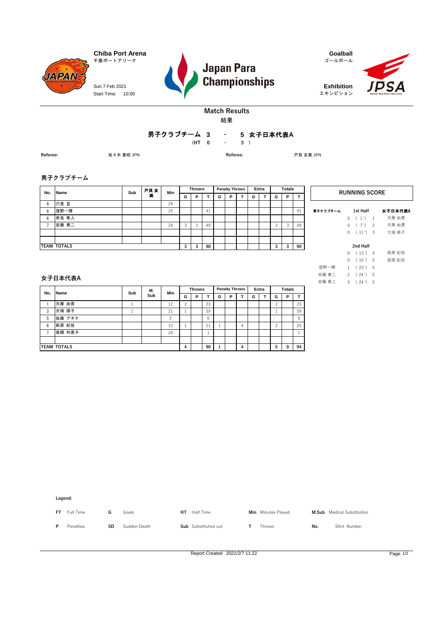

Start Time: 10:00 Sun 7 Feb 2021





エキシビション



### **Match Results**

結果

#### **3 5** 女子日本代表**A -** 男子クラブチーム 3<br>HT 0

**(HT 0 3 ) -**

**Referee:** 佐々木 重昭 JPN **Referee:** 戸貝 友美 JPN

#### **男子クラブチーム**

| No. | <b>Name</b>        | Sub | 戸貝友 | Min |         | <b>Throws</b> |    |   | <b>Penalty Throws</b> |   | Extra |   | <b>Totals</b> |    |          | <b>RUNNING SC</b>     |
|-----|--------------------|-----|-----|-----|---------|---------------|----|---|-----------------------|---|-------|---|---------------|----|----------|-----------------------|
|     |                    |     | 美   |     | G       | Р             |    | G | P                     | G |       | G | P             |    |          |                       |
| 4   | 穴見 亘               |     |     | 24  |         |               |    |   |                       |   |       |   |               |    |          |                       |
| 8   | 窪野一輝               |     |     | 24  |         |               | 41 |   |                       |   |       |   |               | 41 | 男子クラブチーム | 1st Half              |
| 6   | 岸良 隼人              |     |     |     |         |               |    |   |                       |   |       |   |               |    |          | (1) 1                 |
|     | 安藤 勇二              |     |     | 24  | $\circ$ |               | 49 |   |                       |   |       |   | 3             | 49 |          | $7')$ 2               |
|     |                    |     |     |     |         |               |    |   |                       |   |       |   |               |    |          | $(11')$ 3<br>$\Omega$ |
|     |                    |     |     |     |         |               |    |   |                       |   |       |   |               |    |          |                       |
|     | <b>TEAM TOTALS</b> |     |     |     | 3       | 3             | 90 |   |                       |   |       |   | 3             | 90 |          | 2nd Half              |

|          |   | <b>RUNNING SCORE</b> |                |         |
|----------|---|----------------------|----------------|---------|
| 男子クラブチーム |   | 1st Half             |                | 女子日本代表A |
|          | 0 | (1')                 | 1              | 天摩 由貴   |
|          | 0 | (7')                 | $\overline{2}$ | 天摩 由貴   |
|          | 0 | (11')                | 3              | 欠端 瑛子   |
|          |   |                      |                |         |
|          |   | 2nd Half             |                |         |
|          | 0 | (13')                | 4              | 萩原 紀佳   |
|          | 0 | (16')                | -5             | 萩原 紀佳   |
| 窪野一輝     |   | 1(23')               | 5              |         |
| 安藤 勇二    |   | 2(24')               | 5              |         |
| 安藤 勇二    | 3 | (24')                | 5              |         |

#### **女子日本代表A**

| No. | <b>Name</b>        | Sub | М.  | Min      |             | <b>Throws</b> |    |   | <b>Penalty Throws</b> |   | Extra |  | <b>Totals</b> |   |    |
|-----|--------------------|-----|-----|----------|-------------|---------------|----|---|-----------------------|---|-------|--|---------------|---|----|
|     |                    |     | Sub |          | G           | P             |    | G | P                     |   | G     |  | G             | P |    |
|     | 天摩 由貴              |     |     | 12       | $\sim$<br>∼ |               | 23 |   |                       |   |       |  | ◠<br>∼        |   | 23 |
| 3   | 欠端 瑛子              |     |     | 21       |             |               | 39 |   |                       |   |       |  |               |   | 39 |
| 5   | 佐藤 アキナ             |     |     | $\Omega$ |             |               | 6  |   |                       |   |       |  |               |   | 6  |
| 6   | 萩原 紀佳              |     |     | 12       |             |               | 21 |   |                       | 4 |       |  | $\Omega$      |   | 25 |
|     | 高橋 利恵子             |     |     | 24       |             |               |    |   |                       |   |       |  |               |   |    |
|     |                    |     |     |          |             |               |    |   |                       |   |       |  |               |   |    |
|     | <b>TEAM TOTALS</b> |     |     |          | 4           |               | 90 |   |                       | 4 |       |  | 5             | 0 | 94 |

**Legend:**

| <b>FT</b> | Full Time |    | Goals        | нт | Half Time            | Min Minutes Played |     | <b>M.Sub</b> Medical Substitution |
|-----------|-----------|----|--------------|----|----------------------|--------------------|-----|-----------------------------------|
|           | Penalties | SD | Sudden Death |    | Sub Substitution out | Throws             | No. | Shirt Number                      |

Report Created 2021/2/7 11:22 Page 1/2